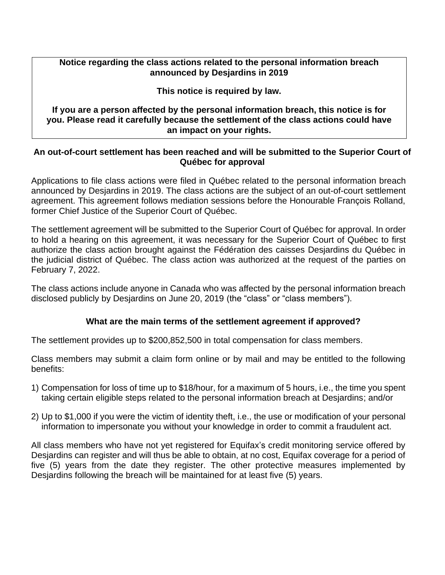### **Notice regarding the class actions related to the personal information breach announced by Desjardins in 2019**

### **This notice is required by law.**

**If you are a person affected by the personal information breach, this notice is for you. Please read it carefully because the settlement of the class actions could have an impact on your rights.**

### **An out-of-court settlement has been reached and will be submitted to the Superior Court of Québec for approval**

Applications to file class actions were filed in Québec related to the personal information breach announced by Desjardins in 2019. The class actions are the subject of an out-of-court settlement agreement. This agreement follows mediation sessions before the Honourable François Rolland, former Chief Justice of the Superior Court of Québec.

The settlement agreement will be submitted to the Superior Court of Québec for approval. In order to hold a hearing on this agreement, it was necessary for the Superior Court of Québec to first authorize the class action brought against the Fédération des caisses Desjardins du Québec in the judicial district of Québec. The class action was authorized at the request of the parties on February 7, 2022.

The class actions include anyone in Canada who was affected by the personal information breach disclosed publicly by Desjardins on June 20, 2019 (the "class" or "class members").

## **What are the main terms of the settlement agreement if approved?**

The settlement provides up to \$200,852,500 in total compensation for class members.

Class members may submit a claim form online or by mail and may be entitled to the following benefits:

- 1) Compensation for loss of time up to \$18/hour, for a maximum of 5 hours, i.e., the time you spent taking certain eligible steps related to the personal information breach at Desjardins; and/or
- 2) Up to \$1,000 if you were the victim of identity theft, i.e., the use or modification of your personal information to impersonate you without your knowledge in order to commit a fraudulent act.

All class members who have not yet registered for Equifax's credit monitoring service offered by Desjardins can register and will thus be able to obtain, at no cost, Equifax coverage for a period of five (5) years from the date they register. The other protective measures implemented by Desjardins following the breach will be maintained for at least five (5) years.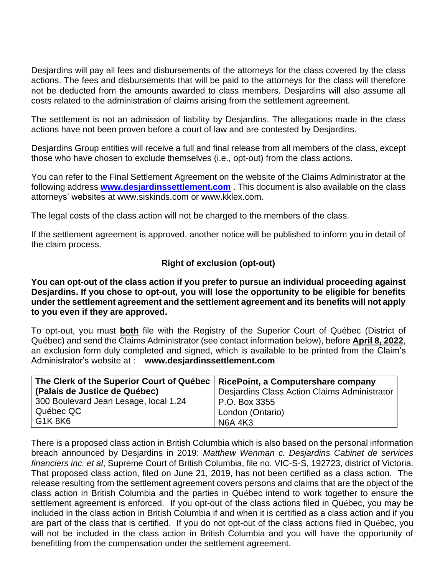Desjardins will pay all fees and disbursements of the attorneys for the class covered by the class actions. The fees and disbursements that will be paid to the attorneys for the class will therefore not be deducted from the amounts awarded to class members. Desjardins will also assume all costs related to the administration of claims arising from the settlement agreement.

The settlement is not an admission of liability by Desjardins. The allegations made in the class actions have not been proven before a court of law and are contested by Desjardins.

Desjardins Group entities will receive a full and final release from all members of the class, except those who have chosen to exclude themselves (i.e., opt-out) from the class actions.

You can refer to the Final Settlement Agreement on the website of the Claims Administrator at the following address **[www.desjardinssettlement.com](http://www.desjardinssettlement.com/)** . This document is also available on the class attorneys' websites at [www.siskinds.com o](http://www.siskinds.com/)r [www.kklex.com.](http://www.kklex.com/)

The legal costs of the class action will not be charged to the members of the class.

If the settlement agreement is approved, another notice will be published to inform you in detail of the claim process.

#### **Right of exclusion (opt-out)**

**You can opt-out of the class action if you prefer to pursue an individual proceeding against Desjardins. If you chose to opt-out, you will lose the opportunity to be eligible for benefits under the settlement agreement and the settlement agreement and its benefits will not apply to you even if they are approved.**

To opt-out, you must **both** file with the Registry of the Superior Court of Québec (District of Québec) and send the Claims Administrator (see contact information below), before **April 8, 2022**, an exclusion form duly completed and signed, which is available to be printed from the Claim's Administrator's website at : **www.desjardinssettlement.com**

| The Clerk of the Superior Court of Québec | RicePoint, a Computershare company           |
|-------------------------------------------|----------------------------------------------|
| (Palais de Justice de Québec)             | Desjardins Class Action Claims Administrator |
| 300 Boulevard Jean Lesage, local 1.24     | P.O. Box 3355                                |
| Québec QC                                 | London (Ontario)                             |
| G1K 8K6                                   | <b>N6A 4K3</b>                               |

There is a proposed class action in British Columbia which is also based on the personal information breach announced by Desjardins in 2019: *Matthew Wenman c. Desjardins Cabinet de services financiers inc. et al*, Supreme Court of British Columbia, file no. VIC-S-S, 192723, district of Victoria. That proposed class action, filed on June 21, 2019, has not been certified as a class action. The release resulting from the settlement agreement covers persons and claims that are the object of the class action in British Columbia and the parties in Québec intend to work together to ensure the settlement agreement is enforced. If you opt-out of the class actions filed in Québec, you may be included in the class action in British Columbia if and when it is certified as a class action and if you are part of the class that is certified. If you do not opt-out of the class actions filed in Québec, you will not be included in the class action in British Columbia and you will have the opportunity of benefitting from the compensation under the settlement agreement.